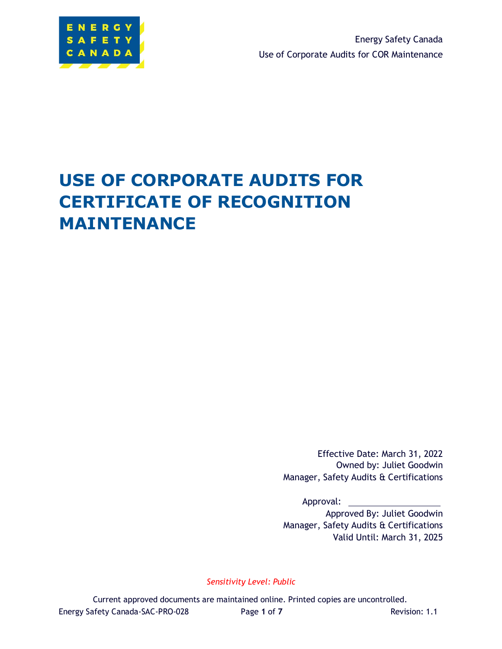

Energy Safety Canada Use of Corporate Audits for COR Maintenance

# **USE OF CORPORATE AUDITS FOR CERTIFICATE OF RECOGNITION MAINTENANCE**

Effective Date: March 31, 2022 Owned by: Juliet Goodwin Manager, Safety Audits & Certifications

Approval:

Approved By: Juliet Goodwin Manager, Safety Audits & Certifications Valid Until: March 31, 2025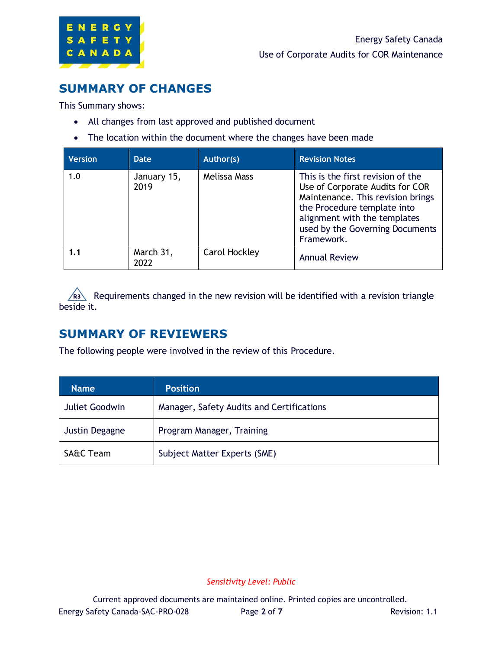

### **SUMMARY OF CHANGES**

This Summary shows:

- All changes from last approved and published document
- The location within the document where the changes have been made

| <b>Version</b> | Date                | Author(s)     | <b>Revision Notes</b>                                                                                                                                                                                                     |
|----------------|---------------------|---------------|---------------------------------------------------------------------------------------------------------------------------------------------------------------------------------------------------------------------------|
| 1.0            | January 15,<br>2019 | Melissa Mass  | This is the first revision of the<br>Use of Corporate Audits for COR<br>Maintenance. This revision brings<br>the Procedure template into<br>alignment with the templates<br>used by the Governing Documents<br>Framework. |
| 1.1            | March 31,<br>2022   | Carol Hockley | <b>Annual Review</b>                                                                                                                                                                                                      |

Requirements changed in the new revision will be identified with a revision triangle beside it.

### **SUMMARY OF REVIEWERS**

The following people were involved in the review of this Procedure.

| <b>Name</b>           | <b>Position</b>                           |
|-----------------------|-------------------------------------------|
| <b>Juliet Goodwin</b> | Manager, Safety Audits and Certifications |
| Justin Degagne        | Program Manager, Training                 |
| <b>SA&amp;C Team</b>  | Subject Matter Experts (SME)              |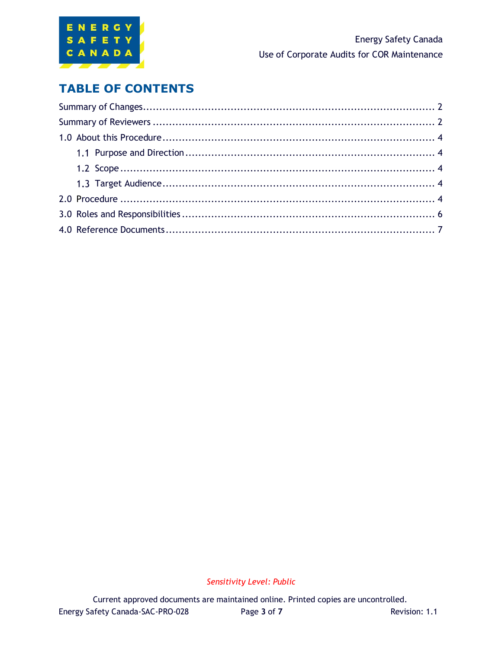

### **TABLE OF CONTENTS**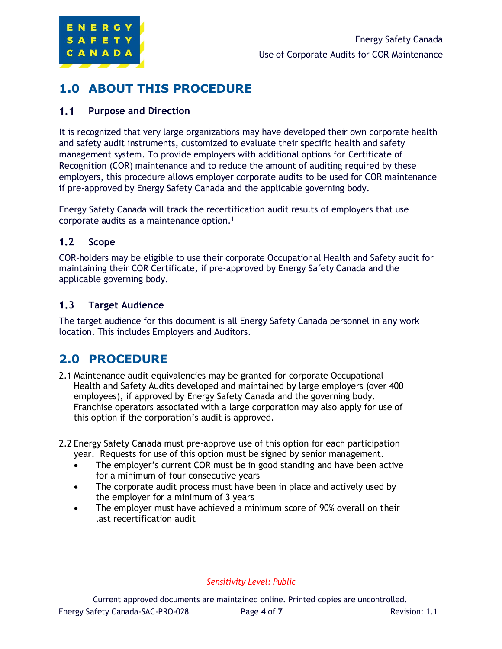

### **1.0 ABOUT THIS PROCEDURE**

#### $1.1$ **Purpose and Direction**

It is recognized that very large organizations may have developed their own corporate health and safety audit instruments, customized to evaluate their specific health and safety management system. To provide employers with additional options for Certificate of Recognition (COR) maintenance and to reduce the amount of auditing required by these employers, this procedure allows employer corporate audits to be used for COR maintenance if pre-approved by Energy Safety Canada and the applicable governing body.

Energy Safety Canada will track the recertification audit results of employers that use corporate audits as a maintenance option.<sup>1</sup>

#### $1.2$ **Scope**

COR-holders may be eligible to use their corporate Occupational Health and Safety audit for maintaining their COR Certificate, if pre-approved by Energy Safety Canada and the applicable governing body.

#### $1.3$ **Target Audience**

The target audience for this document is all Energy Safety Canada personnel in any work location. This includes Employers and Auditors.

### **2.0 PROCEDURE**

- 2.1 Maintenance audit equivalencies may be granted for corporate Occupational Health and Safety Audits developed and maintained by large employers (over 400 employees), if approved by Energy Safety Canada and the governing body. Franchise operators associated with a large corporation may also apply for use of this option if the corporation's audit is approved.
- 2.2 Energy Safety Canada must pre-approve use of this option for each participation year. Requests for use of this option must be signed by senior management.
	- The employer's current COR must be in good standing and have been active for a minimum of four consecutive years
	- The corporate audit process must have been in place and actively used by the employer for a minimum of 3 years
	- The employer must have achieved a minimum score of 90% overall on their last recertification audit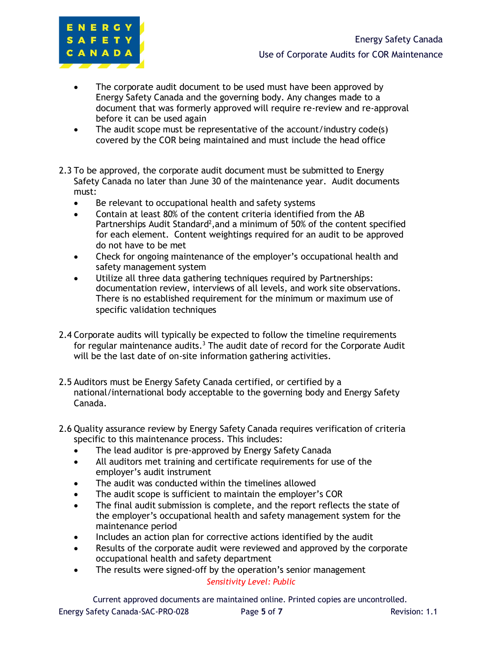

- The corporate audit document to be used must have been approved by Energy Safety Canada and the governing body. Any changes made to a document that was formerly approved will require re-review and re-approval before it can be used again
- The audit scope must be representative of the account/industry code(s) covered by the COR being maintained and must include the head office
- 2.3 To be approved, the corporate audit document must be submitted to Energy Safety Canada no later than June 30 of the maintenance year. Audit documents must:
	- Be relevant to occupational health and safety systems
	- Contain at least 80% of the content criteria identified from the AB Partnerships Audit Standard<sup>2</sup>, and a minimum of 50% of the content specified for each element. Content weightings required for an audit to be approved do not have to be met
	- Check for ongoing maintenance of the employer's occupational health and safety management system
	- Utilize all three data gathering techniques required by Partnerships: documentation review, interviews of all levels, and work site observations. There is no established requirement for the minimum or maximum use of specific validation techniques
- 2.4 Corporate audits will typically be expected to follow the timeline requirements for regular maintenance audits.<sup>3</sup> The audit date of record for the Corporate Audit will be the last date of on-site information gathering activities.
- 2.5 Auditors must be Energy Safety Canada certified, or certified by a national/international body acceptable to the governing body and Energy Safety Canada.
- 2.6 Quality assurance review by Energy Safety Canada requires verification of criteria specific to this maintenance process. This includes:
	- The lead auditor is pre-approved by Energy Safety Canada
	- All auditors met training and certificate requirements for use of the employer's audit instrument
	- The audit was conducted within the timelines allowed
	- The audit scope is sufficient to maintain the employer's COR
	- The final audit submission is complete, and the report reflects the state of the employer's occupational health and safety management system for the maintenance period
	- Includes an action plan for corrective actions identified by the audit
	- Results of the corporate audit were reviewed and approved by the corporate occupational health and safety department
	- *Sensitivity Level: Public* • The results were signed-off by the operation's senior management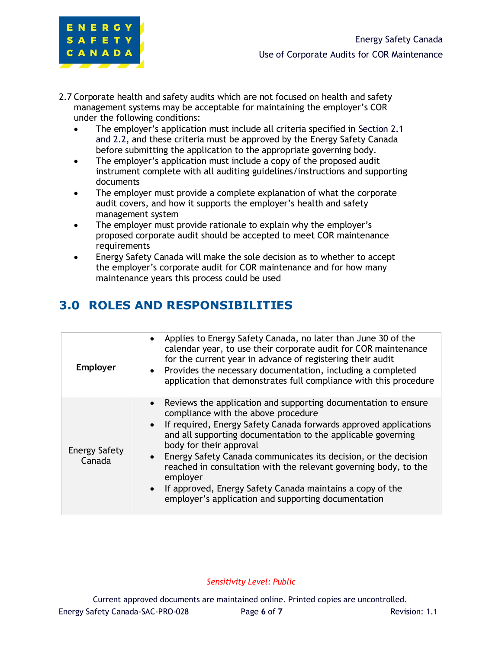

- 2.7 Corporate health and safety audits which are not focused on health and safety management systems may be acceptable for maintaining the employer's COR under the following conditions:
	- The employer's application must include all criteria specified in Section 2.1 and 2.2, and these criteria must be approved by the Energy Safety Canada before submitting the application to the appropriate governing body.
	- The employer's application must include a copy of the proposed audit instrument complete with all auditing guidelines/instructions and supporting documents
	- The employer must provide a complete explanation of what the corporate audit covers, and how it supports the employer's health and safety management system
	- The employer must provide rationale to explain why the employer's proposed corporate audit should be accepted to meet COR maintenance requirements
	- Energy Safety Canada will make the sole decision as to whether to accept the employer's corporate audit for COR maintenance and for how many maintenance years this process could be used

## **3.0 ROLES AND RESPONSIBILITIES**

| <b>Employer</b>         | Applies to Energy Safety Canada, no later than June 30 of the<br>calendar year, to use their corporate audit for COR maintenance<br>for the current year in advance of registering their audit<br>• Provides the necessary documentation, including a completed<br>application that demonstrates full compliance with this procedure                                                                                                                                                                                                        |
|-------------------------|---------------------------------------------------------------------------------------------------------------------------------------------------------------------------------------------------------------------------------------------------------------------------------------------------------------------------------------------------------------------------------------------------------------------------------------------------------------------------------------------------------------------------------------------|
| Energy Safety<br>Canada | Reviews the application and supporting documentation to ensure<br>compliance with the above procedure<br>If required, Energy Safety Canada forwards approved applications<br>and all supporting documentation to the applicable governing<br>body for their approval<br>Energy Safety Canada communicates its decision, or the decision<br>reached in consultation with the relevant governing body, to the<br>employer<br>If approved, Energy Safety Canada maintains a copy of the<br>employer's application and supporting documentation |